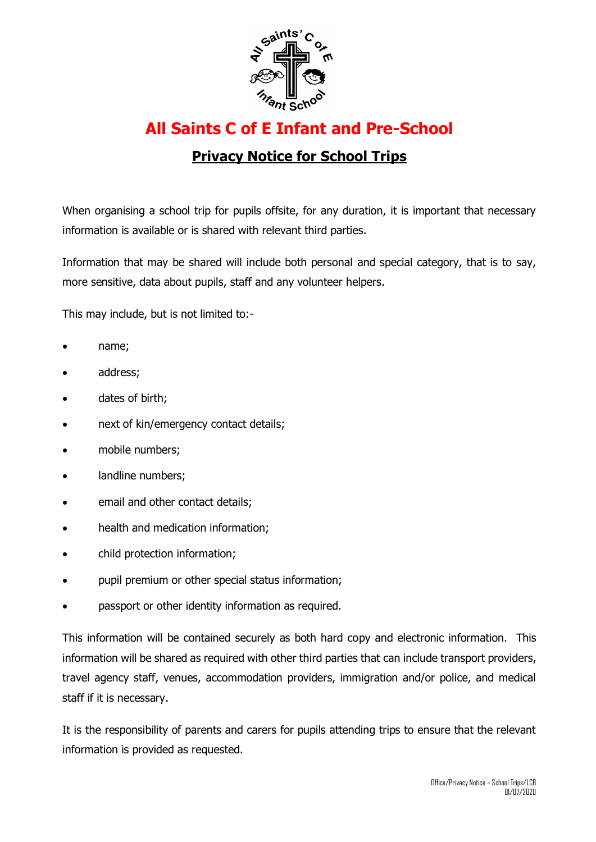

## **All Saints C of E Infant and Pre-School**

## **Privacy Notice for School Trips**

When organising a school trip for pupils offsite, for any duration, it is important that necessary information is available or is shared with relevant third parties.

Information that may be shared will include both personal and special category, that is to say, more sensitive, data about pupils, staff and any volunteer helpers.

This may include, but is not limited to:-

- name;
- address;
- dates of birth;
- next of kin/emergency contact details;
- mobile numbers;
- landline numbers;
- email and other contact details;
- health and medication information;
- child protection information;
- pupil premium or other special status information;
- passport or other identity information as required.

This information will be contained securely as both hard copy and electronic information. This information will be shared as required with other third parties that can include transport providers, travel agency staff, venues, accommodation providers, immigration and/or police, and medical staff if it is necessary.

It is the responsibility of parents and carers for pupils attending trips to ensure that the relevant information is provided as requested.